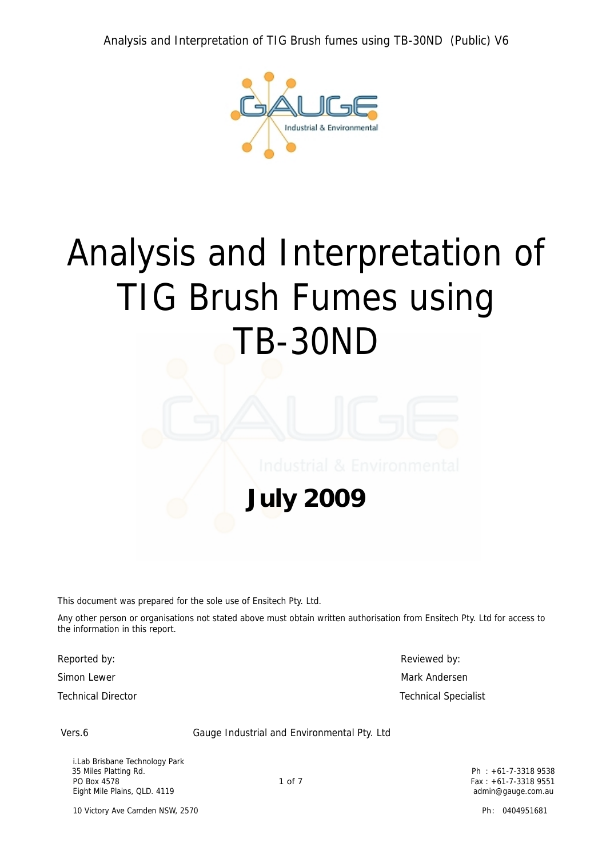# Analysis and Interpretation of TIG Brush Fumes using TB-30ND

# July 2009

This document was prepared for the sole use of Ensitech Pty. Ltd.

Any other person or organisations not stated above must obtain written authorisation from Ensitech Pt y. Ltd for access to the information in this report.

Reported by:  $\blacksquare$  Reviewed by:

Simon Lewer Mark Andersen Mark Andersen Mark Andersen Mark Andersen Mark Andersen Mark Andersen Mark Andersen Technical Director Technical Specialist

Vers.6 Gauge Industrial and Environmental Pty. Ltd

 i.Lab Brisbane Technology Park 35 Miles Platting Rd. Ph : +61 -7-3318 9538 PO Box 4578 The Second Second Second Second Second Second Second Second Second Second Second Second Second Second Second Second Second Second Second Second Second Second Second Second Second Second Second Second Second Sec Eight Mile Plains, QLD. 4119 **and The Control of Control of Control of Control of Control of Control of Control of Control of Control of Control of Control of Control of Control of Control of Control of Control of Control** 

10 Victory Ave Camden NSW, 2570 **Ph : 0404951681**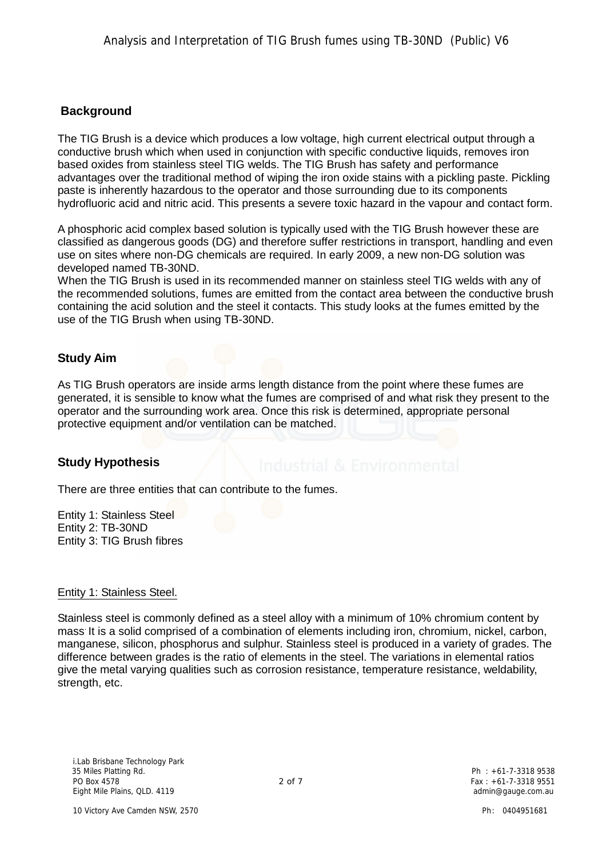# **Background**

The TIG Brush is a device which produces a low voltage, high current electrical output through a conductive brush which when used in conjunction with specific conductive liquids, removes iron based oxides from stainless steel TIG welds. The TIG Brush has safety and performance advantages over the traditional method of wiping the iron oxide stains with a pickling paste. Pickling paste is inherently hazardous to the operator and those surrounding due to its components hydrofluoric acid and nitric acid. This presents a severe toxic hazard in the vapour and contact form.

A phosphoric acid complex based solution is typically used with the TIG Brush however these are classified as dangerous goods (DG) and therefore suffer restrictions in transport, handling and even use on sites where non-DG chemicals are required. In early 2009, a new non-DG solution was developed named TB-30ND.

When the TIG Brush is used in its recommended manner on stainless steel TIG welds with any of the recommended solutions, fumes are emitted from the contact area between the conductive brush containing the acid solution and the steel it contacts. This study looks at the fumes emitted by the use of the TIG Brush when using TB-30ND.

## Study Aim

As TIG Brush operators are inside arms length distance from the point where these fumes are generated, it is sensible to know what the fumes are comprised of and what risk they present to the operator and the surrounding work area. Once this risk is determined, appropriate personal protective equipment and/or ventilation can be matched.

#### Study Hypothesis

There are three entities that can contribute to the fumes.

Entity 1: Stainless Steel Entity 2: TB-30ND Entity 3: TIG Brush fibres

# Entity 1: Stainless Steel.

Stainless steel is commonly defined as a steel alloy with a minimum of 10% chromium content by mass. It is a solid comprised of a combination of elements including iron, chromium, nickel, carbon, manganese, silicon, phosphorus and sulphur. Stainless steel is produced in a variety of grades. The difference between grades is the ratio of elements in the steel. The variations in elemental ratios give the metal varying qualities such as corrosion resistance, temperature resistance, weldability, strength, etc.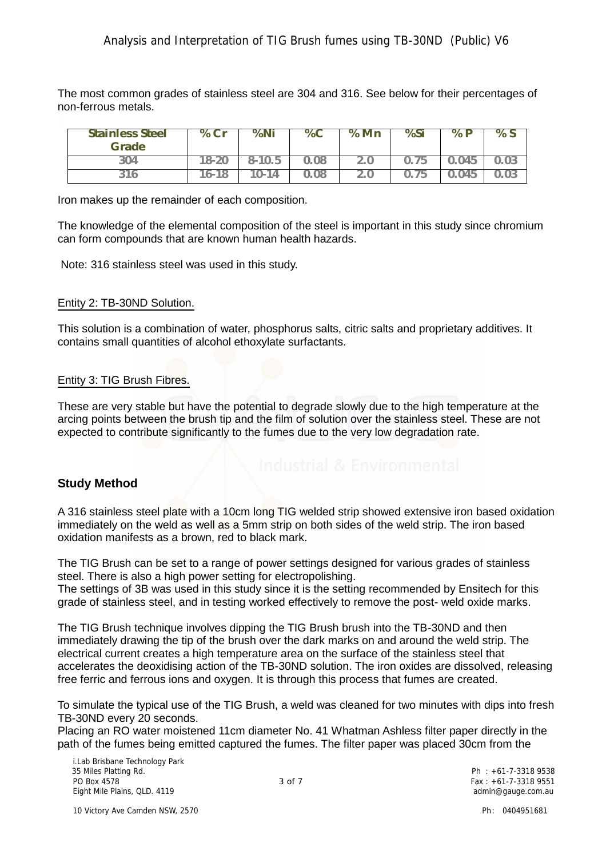The most common grades of stainless steel are 304 and 316. See below for their percentages of non-ferrous metals.

| tainless Steel<br>Grade | ৺০ ্<br>$\check{ }$   | $\bullet$<br>Volni | $\%C$ | $\frac{v}{0}$<br><b>IVIN</b> | % | υ,<br>7ο | $\%$<br>$\overline{\phantom{0}}$ |
|-------------------------|-----------------------|--------------------|-------|------------------------------|---|----------|----------------------------------|
| ು∪∸                     | ่⊃−∠เ                 | ¬–                 |       | <u>.</u> .                   | N | ・14し     |                                  |
| ◡                       | $\overline{h}$<br>. C | $\cdots$<br>∸      | UΟ    | 2. U                         | N | J45      |                                  |

Iron makes up the remainder of each composition.

The knowledge of the elemental composition of the steel is important in this study since chromium can form compounds that are known human health hazards.

Note: 316 stainless steel was used in this study.

#### Entity 2: TB-30ND Solution.

This solution is a combination of water, phosphorus salts, citric salts and proprietary additives. It contains small quantities of alcohol ethoxylate surfactants.

#### Entity 3: TIG Brush Fibres.

These are very stable but have the potential to degrade slowly due to the high temperature at the arcing points between the brush tip and the film of solution over the stainless steel. These are not expected to contribute significantly to the fumes due to the very low degradation rate.

#### Study Method

A 316 stainless steel plate with a 10cm long TIG welded strip showed extensive iron based oxidation immediately on the weld as well as a 5mm strip on both sides of the weld strip. The iron based oxidation manifests as a brown, red to black mark.

The TIG Brush can be set to a range of power settings designed for various grades of stainless steel. There is also a high power setting for electropolishing. The settings of 3B was used in this study since it is the setting recommended by Ensitech for this grade of stainless steel, and in testing worked effectively to remove the post- weld oxide marks.

The TIG Brush technique involves dipping the TIG Brush brush into the TB-30ND and then immediately drawing the tip of the brush over the dark marks on and around the weld strip. The electrical current creates a high temperature area on the surface of the stainless steel that accelerates the deoxidising action of the TB-30ND solution. The iron oxides are dissolved, releasing free ferric and ferrous ions and oxygen. It is through this process that fumes are created.

To simulate the typical use of the TIG Brush, a weld was cleaned for two minutes with dips into fresh TB-30ND every 20 seconds.

Placing an RO water moistened 11cm diameter No. 41 Whatman Ashless filter paper directly in the path of the fumes being emitted captured the fumes. The filter paper was placed 30cm from the

 i.Lab Brisbane Technology Park 35 Miles Platting Rd. Ph : +61 -7-3318 9538 PO Box 4578  $\overline{5}$  PO Box 4578  $\overline{5}$  PO Box 4578  $\overline{5}$  PO Box 4578  $\overline{5}$  Po Box 4578  $\overline{5}$ Eight Mile Plains, QLD. 4119 **and Fight Mile Plains**, QLD. 4119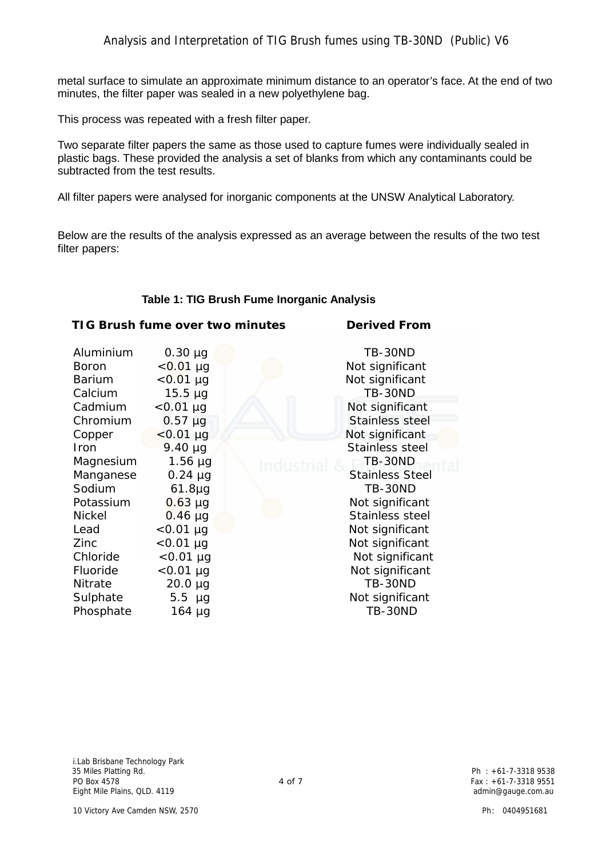metal surface to simulate an approximate minimum distance to an operator€s face. At the end of two minutes, the filter paper was sealed in a new polyethylene bag.

This process was repeated with a fresh filter paper.

Two separate filter papers the same as those used to capture fumes were individually sealed in plastic bags. These provided the analysis a set of blanks from which any contaminants could be subtracted from the test results.

All filter papers were analysed for inorganic components at the UNSW Analytical Laboratory.

Below are the results of the analysis expressed as an average between the results of the two test filter papers:

#### Table 1: TIG Brush Fume Inorganic Analysis

TIG Brush fume over two minutes Derived From

| Aluminium     | $0.30 \in g$        | TВ<br>$-30ND$          |
|---------------|---------------------|------------------------|
| <b>Boron</b>  | <0.01 €g            | Not significant        |
| <b>Barium</b> | <0.01 €g            | Not significant        |
| Calcium       | 15.5 €g             | TB<br>$-30ND$          |
| Cadmium       | <0.01 €g            | Not significant        |
| Chromium      | 0.57 €g             | Stainless steel        |
| Copper        | <0.01 €g            | Not significant        |
| <b>Iron</b>   | 9.40 €g             | Stainless steel        |
| Magnesium     | 1.56 €g             | TB .<br>$-30ND$        |
| Manganese     | 0.24 €g             | <b>Stainless Steel</b> |
| Sodium        | 61.8€g              | TB<br>$-30ND$          |
| Potassium     | $0.63 \in g$        | Not significant        |
| Nickel        | 0.46 €g             | Stainless steel        |
| Lead          | $< 0.01 \epsilon$ g | Not significant        |
| Zinc          | $< 0.01 \epsilon$ g | Not significant        |
| Chloride      | <0.01 €g            | Not significant        |
| Fluoride      | <0.01 €g            | Not significant        |
| Nitrate       | 20.0 €g             | ТB<br>-30ND            |
| Sulphate      | 5.5 €g              | Not significant        |
| Phosphate     | 164 €g              | TВ<br>$-30ND$          |
|               |                     |                        |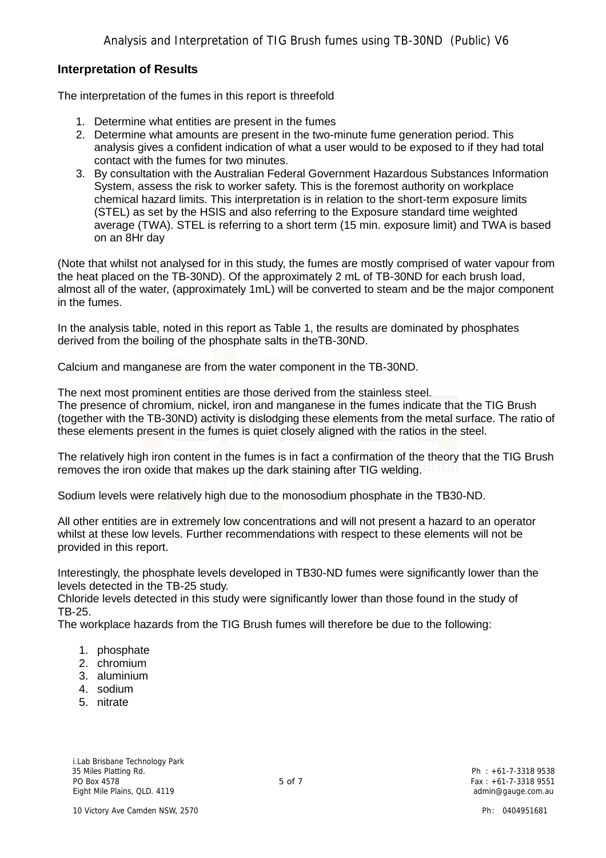Interpretation of Results

The interpretation of the fumes in this report is threefold

- 1. Determine what entities are present in the fumes
- 2. Determine what amounts are present in the two-minute fume generation period. This analysis gives a confident indication of what a user would to be exposed to if they had total contact with the fumes for two minutes.
- 3. By consultation with the Australian Federal Government Hazardous Substances Information System, assess the risk to worker safety. This is the foremost authority on workplace chemical hazard limits. This interpretation is in relation to the short-term exposure limits (STEL) as set by the HSIS and also referring to the Exposure standard time weighted average (TWA). STEL is referring to a short term (15 min. exposure limit) and TWA is based on an 8Hr day

(Note that whilst not analysed for in this study, the fumes are mostly comprised of water vapour from the heat placed on the TB-30ND). Of the approximately 2 mL of TB-30ND for each brush load, almost all of the water, (approximately 1mL) will be converted to steam and be the major component in the fumes.

In the analysis table, noted in this report as Table 1, the results are dominated by phosphates derived from the boiling of the phosphate salts in theTB-30ND.

Calcium and manganese are from the water component in the TB-30ND.

The next most prominent entities are those derived from the stainless steel. The presence of chromium, nickel, iron and manganese in the fumes indicate that the TIG Brush (together with the TB-30ND) activity is dislodging these elements from the metal surface. The ratio of these elements present in the fumes is quiet closely aligned with the ratios in the steel.

The relatively high iron content in the fumes is in fact a confirmation of the theory that the TIG Brush removes the iron oxide that makes up the dark staining after TIG welding.

Sodium levels were relatively high due to the monosodium phosphate in the TB30-ND.

All other entities are in extremely low concentrations and will not present a hazard to an operator whilst at these low levels. Further recommendations with respect to these elements will not be provided in this report.

Interestingly, the phosphate levels developed in TB30-ND fumes were significantly lower than the levels detected in the TB-25 study.

Chloride levels detected in this study were significantly lower than those found in the study of TB-25.

The workplace hazards from the TIG Brush fumes will therefore be due to the following:

- 1. phosphate
- 2. chromium
- 3. aluminium
- 4. sodium
- 5. nitrate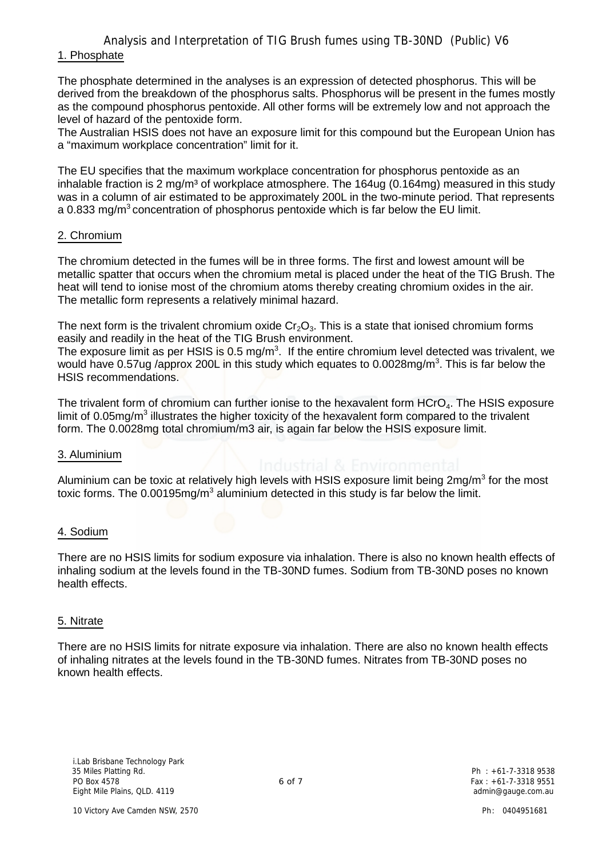Analysis and Interpretation of TIG Brush fumes using TB-30ND (Public) V6 1. Phosphate

The phosphate determined in the analyses is an expression of detected phosphorus. This will be derived from the breakdown of the phosphorus salts. Phosphorus will be present in the fumes mostly as the compound phosphorus pentoxide. All other forms will be extremely low and not approach the level of hazard of the pentoxide form.

The Australian HSIS does not have an exposure limit for this compound but the European Union has a •maximum workplace concentration, limit for it.

The EU specifies that the maximum workplace concentration for phosphorus pentoxide as an inhalable fraction is 2 mg/mƒ of workplace atmosphere. The 164ug (0.164mg) measured in this study was in a column of air estimated to be approximately 200L in the two-minute period. That represents a 0.833 mg/m<sup>3</sup> concentration of phosphorus pentoxide which is far below the EU limit.

#### 2. Chromium

The chromium detected in the fumes will be in three forms. The first and lowest amount will be metallic spatter that occurs when the chromium metal is placed under the heat of the TIG Brush. The heat will tend to ionise most of the chromium atoms thereby creating chromium oxides in the air. The metallic form represents a relatively minimal hazard.

The next form is the trivalent chromium oxide  $\text{Cr}_2\text{O}_3$ . This is a state that ionised chromium forms easily and readily in the heat of the TIG Brush environment.

The exposure limit as per HSIS is 0.5 mg/m<sup>3</sup>. If the entire chromium level detected was trivalent, we would have 0.57ug /approx 200L in this study which equates to 0.0028mg/m<sup>3</sup>. This is far below the HSIS recommendations.

The trivalent form of chromium can further ionise to the hexavalent form  $HCrO<sub>4</sub>$ . The HSIS exposure limit of 0.05mg/m<sup>3</sup> illustrates the higher toxicity of the hexavalent form compared to the trivalent form. The 0.0028mg total chromium/m3 air, is again far below the HSIS exposure limit.

#### 3. Aluminium

Aluminium can be toxic at relatively high levels with HSIS exposure limit being 2mg/m<sup>3</sup> for the most toxic forms. The 0.00195mg/m<sup>3</sup> aluminium detected in this study is far below the limit.

#### 4. Sodium

There are no HSIS limits for sodium exposure via inhalation. There is also no known health effects of inhaling sodium at the levels found in the TB-30ND fumes. Sodium from TB-30ND poses no known health effects.

#### 5. Nitrate

There are no HSIS limits for nitrate exposure via inhalation. There are also no known health effects of inhaling nitrates at the levels found in the TB-30ND fumes. Nitrates from TB-30ND poses no known health effects.